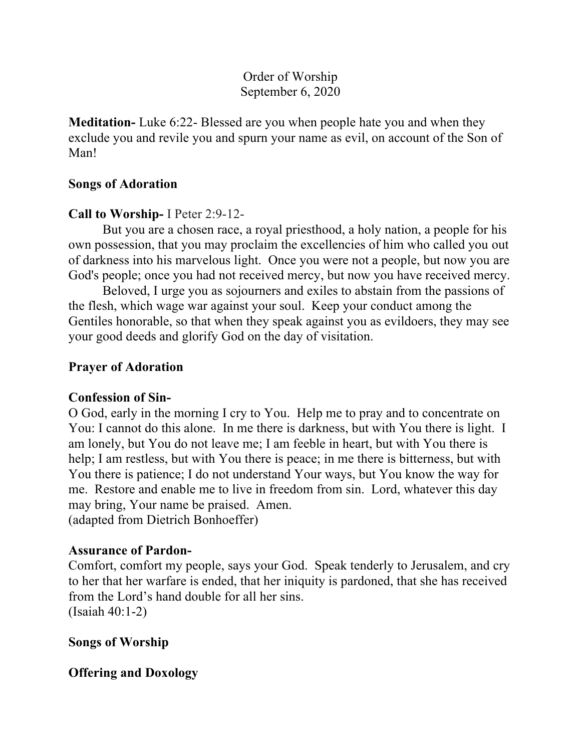# Order of Worship September 6, 2020

**Meditation-** Luke 6:22- Blessed are you when people hate you and when they exclude you and revile you and spurn your name as evil, on account of the Son of Man!

#### **Songs of Adoration**

## **Call to Worship-** I Peter 2:9-12-

But you are a chosen race, a royal priesthood, a holy nation, a people for his own possession, that you may proclaim the excellencies of him who called you out of darkness into his marvelous light. Once you were not a people, but now you are God's people; once you had not received mercy, but now you have received mercy.

Beloved, I urge you as sojourners and exiles to abstain from the passions of the flesh, which wage war against your soul. Keep your conduct among the Gentiles honorable, so that when they speak against you as evildoers, they may see your good deeds and glorify God on the day of visitation.

### **Prayer of Adoration**

#### **Confession of Sin-**

O God, early in the morning I cry to You. Help me to pray and to concentrate on You: I cannot do this alone. In me there is darkness, but with You there is light. I am lonely, but You do not leave me; I am feeble in heart, but with You there is help; I am restless, but with You there is peace; in me there is bitterness, but with You there is patience; I do not understand Your ways, but You know the way for me. Restore and enable me to live in freedom from sin. Lord, whatever this day may bring, Your name be praised. Amen. (adapted from Dietrich Bonhoeffer)

#### **Assurance of Pardon-**

Comfort, comfort my people, says your God. Speak tenderly to Jerusalem, and cry to her that her warfare is ended, that her iniquity is pardoned, that she has received from the Lord's hand double for all her sins. (Isaiah 40:1-2)

**Songs of Worship**

**Offering and Doxology**